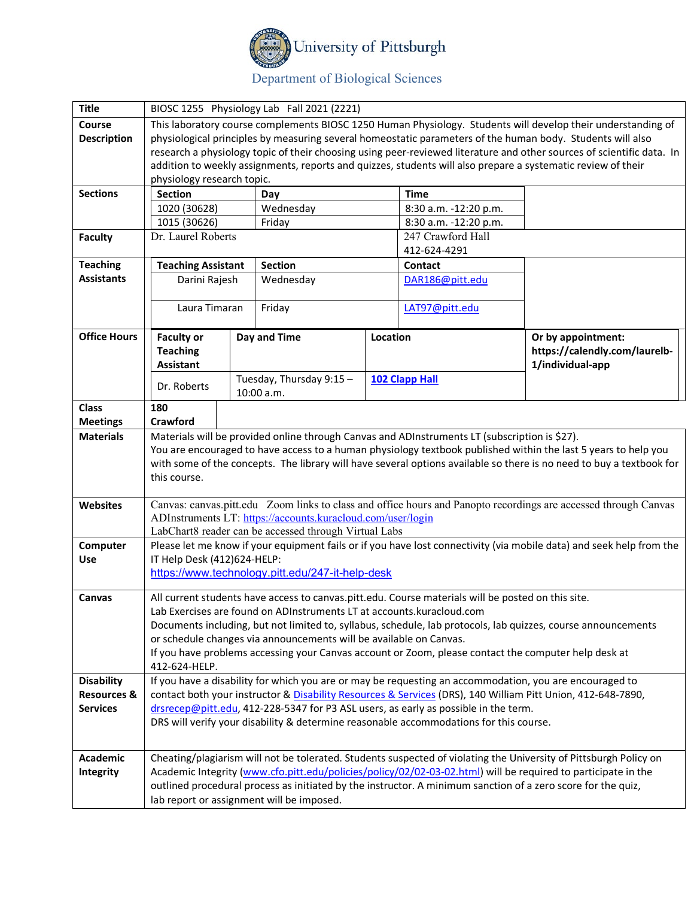

# Department of Biological Sciences

| <b>Title</b>           | BIOSC 1255 Physiology Lab Fall 2021 (2221)                                                                        |                                                                                                    |                                                             |                                 |                                                                                               |                                                                                                                       |  |
|------------------------|-------------------------------------------------------------------------------------------------------------------|----------------------------------------------------------------------------------------------------|-------------------------------------------------------------|---------------------------------|-----------------------------------------------------------------------------------------------|-----------------------------------------------------------------------------------------------------------------------|--|
| Course                 |                                                                                                                   |                                                                                                    |                                                             |                                 |                                                                                               | This laboratory course complements BIOSC 1250 Human Physiology. Students will develop their understanding of          |  |
| <b>Description</b>     |                                                                                                                   |                                                                                                    |                                                             |                                 |                                                                                               | physiological principles by measuring several homeostatic parameters of the human body. Students will also            |  |
|                        |                                                                                                                   |                                                                                                    |                                                             |                                 |                                                                                               | research a physiology topic of their choosing using peer-reviewed literature and other sources of scientific data. In |  |
|                        |                                                                                                                   |                                                                                                    |                                                             |                                 |                                                                                               | addition to weekly assignments, reports and quizzes, students will also prepare a systematic review of their          |  |
|                        | physiology research topic.                                                                                        |                                                                                                    |                                                             |                                 |                                                                                               |                                                                                                                       |  |
| <b>Sections</b>        | <b>Section</b>                                                                                                    |                                                                                                    | Day                                                         |                                 | <b>Time</b>                                                                                   |                                                                                                                       |  |
|                        | 1020 (30628)                                                                                                      |                                                                                                    | Wednesday                                                   |                                 | 8:30 a.m. -12:20 p.m.                                                                         |                                                                                                                       |  |
|                        | 1015 (30626)                                                                                                      |                                                                                                    |                                                             | Friday<br>8:30 a.m. -12:20 p.m. |                                                                                               |                                                                                                                       |  |
| <b>Faculty</b>         | Dr. Laurel Roberts                                                                                                |                                                                                                    |                                                             |                                 | 247 Crawford Hall                                                                             |                                                                                                                       |  |
| <b>Teaching</b>        |                                                                                                                   |                                                                                                    |                                                             |                                 | 412-624-4291                                                                                  |                                                                                                                       |  |
| <b>Assistants</b>      | <b>Teaching Assistant</b><br>Darini Rajesh                                                                        |                                                                                                    | <b>Section</b>                                              |                                 | <b>Contact</b><br>DAR186@pitt.edu                                                             |                                                                                                                       |  |
|                        |                                                                                                                   |                                                                                                    | Wednesday                                                   |                                 |                                                                                               |                                                                                                                       |  |
|                        |                                                                                                                   |                                                                                                    | Friday                                                      |                                 | LAT97@pitt.edu                                                                                |                                                                                                                       |  |
|                        | Laura Timaran                                                                                                     |                                                                                                    |                                                             |                                 |                                                                                               |                                                                                                                       |  |
| <b>Office Hours</b>    | <b>Faculty or</b>                                                                                                 |                                                                                                    | Day and Time                                                | Location                        |                                                                                               | Or by appointment:                                                                                                    |  |
|                        | <b>Teaching</b>                                                                                                   |                                                                                                    |                                                             |                                 |                                                                                               | https://calendly.com/laurelb-                                                                                         |  |
|                        | <b>Assistant</b>                                                                                                  |                                                                                                    |                                                             |                                 |                                                                                               | 1/individual-app                                                                                                      |  |
|                        | Dr. Roberts                                                                                                       |                                                                                                    | Tuesday, Thursday 9:15 -                                    |                                 | <b>102 Clapp Hall</b>                                                                         |                                                                                                                       |  |
|                        |                                                                                                                   |                                                                                                    | 10:00 a.m.                                                  |                                 |                                                                                               |                                                                                                                       |  |
| <b>Class</b>           | 180                                                                                                               |                                                                                                    |                                                             |                                 |                                                                                               |                                                                                                                       |  |
| <b>Meetings</b>        | Crawford                                                                                                          |                                                                                                    |                                                             |                                 |                                                                                               |                                                                                                                       |  |
| <b>Materials</b>       |                                                                                                                   |                                                                                                    |                                                             |                                 | Materials will be provided online through Canvas and ADInstruments LT (subscription is \$27). |                                                                                                                       |  |
|                        |                                                                                                                   |                                                                                                    |                                                             |                                 |                                                                                               | You are encouraged to have access to a human physiology textbook published within the last 5 years to help you        |  |
|                        |                                                                                                                   |                                                                                                    |                                                             |                                 |                                                                                               | with some of the concepts. The library will have several options available so there is no need to buy a textbook for  |  |
|                        | this course.                                                                                                      |                                                                                                    |                                                             |                                 |                                                                                               |                                                                                                                       |  |
| <b>Websites</b>        |                                                                                                                   |                                                                                                    |                                                             |                                 |                                                                                               | Canvas: canvas.pitt.edu Zoom links to class and office hours and Panopto recordings are accessed through Canvas       |  |
|                        |                                                                                                                   |                                                                                                    | ADInstruments LT: https://accounts.kuracloud.com/user/login |                                 |                                                                                               |                                                                                                                       |  |
|                        |                                                                                                                   |                                                                                                    | LabChart8 reader can be accessed through Virtual Labs       |                                 |                                                                                               |                                                                                                                       |  |
| Computer               |                                                                                                                   |                                                                                                    |                                                             |                                 |                                                                                               | Please let me know if your equipment fails or if you have lost connectivity (via mobile data) and seek help from the  |  |
| <b>Use</b>             | IT Help Desk (412)624-HELP:                                                                                       |                                                                                                    |                                                             |                                 |                                                                                               |                                                                                                                       |  |
|                        |                                                                                                                   | https://www.technology.pitt.edu/247-it-help-desk                                                   |                                                             |                                 |                                                                                               |                                                                                                                       |  |
| Canvas                 |                                                                                                                   | All current students have access to canvas.pitt.edu. Course materials will be posted on this site. |                                                             |                                 |                                                                                               |                                                                                                                       |  |
|                        | Lab Exercises are found on ADInstruments LT at accounts.kuracloud.com                                             |                                                                                                    |                                                             |                                 |                                                                                               |                                                                                                                       |  |
|                        | Documents including, but not limited to, syllabus, schedule, lab protocols, lab quizzes, course announcements     |                                                                                                    |                                                             |                                 |                                                                                               |                                                                                                                       |  |
|                        | or schedule changes via announcements will be available on Canvas.                                                |                                                                                                    |                                                             |                                 |                                                                                               |                                                                                                                       |  |
|                        | If you have problems accessing your Canvas account or Zoom, please contact the computer help desk at              |                                                                                                    |                                                             |                                 |                                                                                               |                                                                                                                       |  |
|                        | 412-624-HELP.                                                                                                     |                                                                                                    |                                                             |                                 |                                                                                               |                                                                                                                       |  |
| <b>Disability</b>      | If you have a disability for which you are or may be requesting an accommodation, you are encouraged to           |                                                                                                    |                                                             |                                 |                                                                                               |                                                                                                                       |  |
| <b>Resources &amp;</b> | contact both your instructor & Disability Resources & Services (DRS), 140 William Pitt Union, 412-648-7890,       |                                                                                                    |                                                             |                                 |                                                                                               |                                                                                                                       |  |
| <b>Services</b>        | drsrecep@pitt.edu, 412-228-5347 for P3 ASL users, as early as possible in the term.                               |                                                                                                    |                                                             |                                 |                                                                                               |                                                                                                                       |  |
|                        | DRS will verify your disability & determine reasonable accommodations for this course.                            |                                                                                                    |                                                             |                                 |                                                                                               |                                                                                                                       |  |
|                        |                                                                                                                   |                                                                                                    |                                                             |                                 |                                                                                               |                                                                                                                       |  |
| Academic               | Cheating/plagiarism will not be tolerated. Students suspected of violating the University of Pittsburgh Policy on |                                                                                                    |                                                             |                                 |                                                                                               |                                                                                                                       |  |
| Integrity              | Academic Integrity (www.cfo.pitt.edu/policies/policy/02/02-03-02.html) will be required to participate in the     |                                                                                                    |                                                             |                                 |                                                                                               |                                                                                                                       |  |
|                        | outlined procedural process as initiated by the instructor. A minimum sanction of a zero score for the quiz,      |                                                                                                    |                                                             |                                 |                                                                                               |                                                                                                                       |  |
|                        | lab report or assignment will be imposed.                                                                         |                                                                                                    |                                                             |                                 |                                                                                               |                                                                                                                       |  |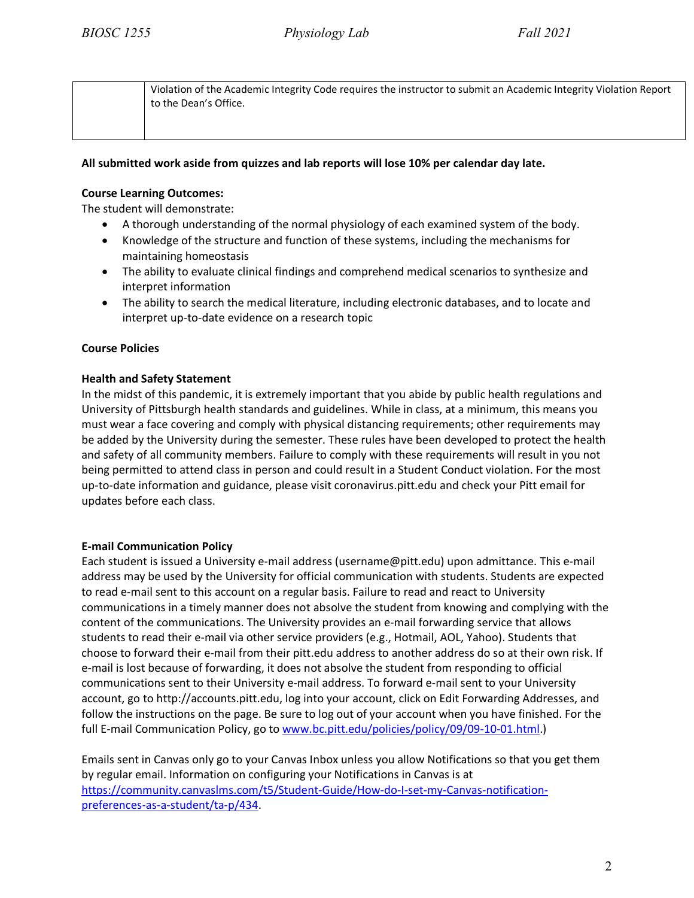Violation of the Academic Integrity Code requires the instructor to submit an Academic Integrity Violation Report to the Dean's Office.

# **All submitted work aside from quizzes and lab reports will lose 10% per calendar day late.**

# **Course Learning Outcomes:**

The student will demonstrate:

- A thorough understanding of the normal physiology of each examined system of the body.
- Knowledge of the structure and function of these systems, including the mechanisms for maintaining homeostasis
- The ability to evaluate clinical findings and comprehend medical scenarios to synthesize and interpret information
- The ability to search the medical literature, including electronic databases, and to locate and interpret up-to-date evidence on a research topic

# **Course Policies**

# **Health and Safety Statement**

In the midst of this pandemic, it is extremely important that you abide by public health regulations and University of Pittsburgh health standards and guidelines. While in class, at a minimum, this means you must wear a face covering and comply with physical distancing requirements; other requirements may be added by the University during the semester. These rules have been developed to protect the health and safety of all community members. Failure to comply with these requirements will result in you not being permitted to attend class in person and could result in a Student Conduct violation. For the most up-to-date information and guidance, please visit coronavirus.pitt.edu and check your Pitt email for updates before each class.

#### **E-mail Communication Policy**

Each student is issued a University e-mail address (username@pitt.edu) upon admittance. This e-mail address may be used by the University for official communication with students. Students are expected to read e-mail sent to this account on a regular basis. Failure to read and react to University communications in a timely manner does not absolve the student from knowing and complying with the content of the communications. The University provides an e-mail forwarding service that allows students to read their e-mail via other service providers (e.g., Hotmail, AOL, Yahoo). Students that choose to forward their e-mail from their pitt.edu address to another address do so at their own risk. If e-mail is lost because of forwarding, it does not absolve the student from responding to official communications sent to their University e-mail address. To forward e-mail sent to your University account, go to http://accounts.pitt.edu, log into your account, click on Edit Forwarding Addresses, and follow the instructions on the page. Be sure to log out of your account when you have finished. For the full E-mail Communication Policy, go to [www.bc.pitt.edu/policies/policy/09/09-10-01.html.](http://www.bc.pitt.edu/policies/policy/09/09-10-01.html))

Emails sent in Canvas only go to your Canvas Inbox unless you allow Notifications so that you get them by regular email. Information on configuring your Notifications in Canvas is at [https://community.canvaslms.com/t5/Student-Guide/How-do-I-set-my-Canvas-notification](https://community.canvaslms.com/t5/Student-Guide/How-do-I-set-my-Canvas-notification-preferences-as-a-student/ta-p/434)[preferences-as-a-student/ta-p/434.](https://community.canvaslms.com/t5/Student-Guide/How-do-I-set-my-Canvas-notification-preferences-as-a-student/ta-p/434)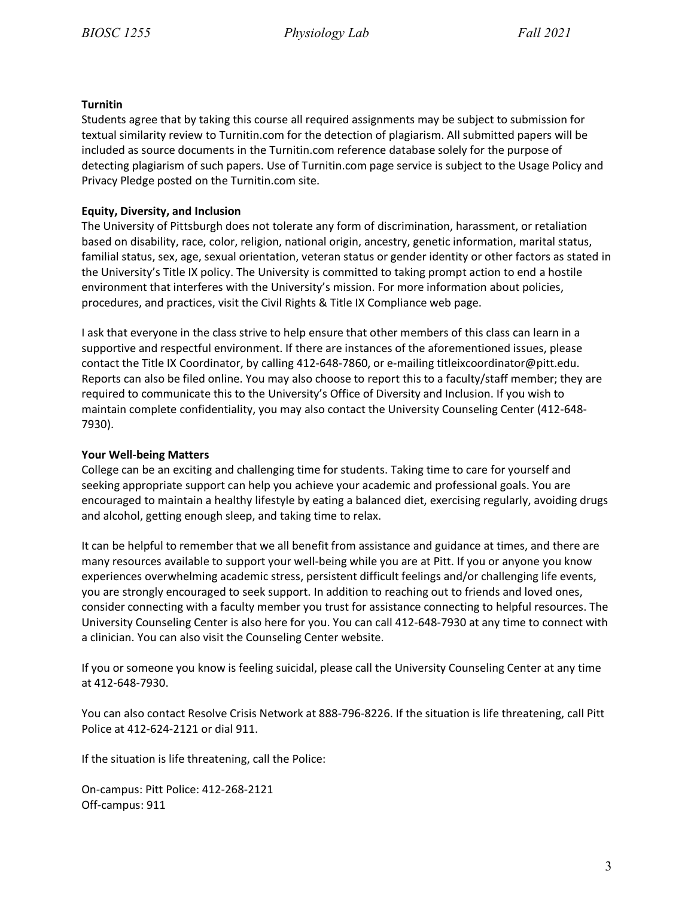#### **Turnitin**

Students agree that by taking this course all required assignments may be subject to submission for textual similarity review to Turnitin.com for the detection of plagiarism. All submitted papers will be included as source documents in the Turnitin.com reference database solely for the purpose of detecting plagiarism of such papers. Use of Turnitin.com page service is subject to the Usage Policy and Privacy Pledge posted on the Turnitin.com site.

# **Equity, Diversity, and Inclusion**

The University of Pittsburgh does not tolerate any form of discrimination, harassment, or retaliation based on disability, race, color, religion, national origin, ancestry, genetic information, marital status, familial status, sex, age, sexual orientation, veteran status or gender identity or other factors as stated in the University's Title IX policy. The University is committed to taking prompt action to end a hostile environment that interferes with the University's mission. For more information about policies, procedures, and practices, visit the Civil Rights & Title IX Compliance web page.

I ask that everyone in the class strive to help ensure that other members of this class can learn in a supportive and respectful environment. If there are instances of the aforementioned issues, please contact the Title IX Coordinator, by calling 412-648-7860, or e-mailing titleixcoordinator@pitt.edu. Reports can also be filed online. You may also choose to report this to a faculty/staff member; they are required to communicate this to the University's Office of Diversity and Inclusion. If you wish to maintain complete confidentiality, you may also contact the University Counseling Center (412-648- 7930).

#### **Your Well-being Matters**

College can be an exciting and challenging time for students. Taking time to care for yourself and seeking appropriate support can help you achieve your academic and professional goals. You are encouraged to maintain a healthy lifestyle by eating a balanced diet, exercising regularly, avoiding drugs and alcohol, getting enough sleep, and taking time to relax.

It can be helpful to remember that we all benefit from assistance and guidance at times, and there are many resources available to support your well-being while you are at Pitt. If you or anyone you know experiences overwhelming academic stress, persistent difficult feelings and/or challenging life events, you are strongly encouraged to seek support. In addition to reaching out to friends and loved ones, consider connecting with a faculty member you trust for assistance connecting to helpful resources. The University Counseling Center is also here for you. You can call 412-648-7930 at any time to connect with a clinician. You can also visit the Counseling Center website.

If you or someone you know is feeling suicidal, please call the University Counseling Center at any time at 412-648-7930.

You can also contact Resolve Crisis Network at 888-796-8226. If the situation is life threatening, call Pitt Police at 412-624-2121 or dial 911.

If the situation is life threatening, call the Police:

On-campus: Pitt Police: 412-268-2121 Off-campus: 911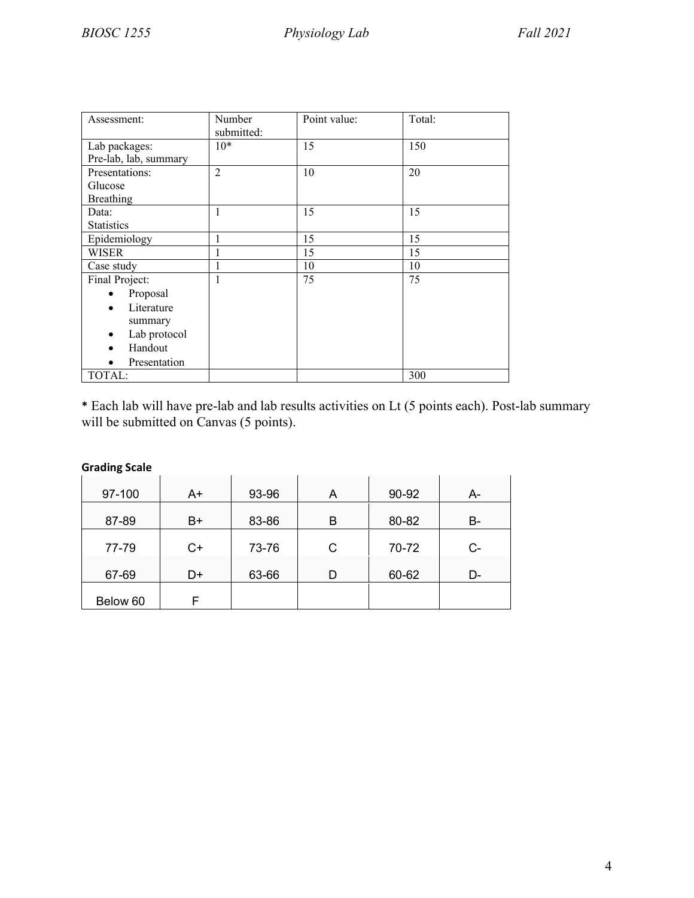| Assessment:               | Number<br>submitted: | Point value: | Total: |
|---------------------------|----------------------|--------------|--------|
| Lab packages:             | $10*$                | 15           | 150    |
| Pre-lab, lab, summary     |                      |              |        |
| Presentations:            | $\overline{2}$       | 10           | 20     |
| Glucose                   |                      |              |        |
| <b>Breathing</b>          |                      |              |        |
| Data:                     | $\mathbf{1}$         | 15           | 15     |
| <b>Statistics</b>         |                      |              |        |
| Epidemiology              |                      | 15           | 15     |
| WISER                     |                      | 15           | 15     |
| Case study                |                      | 10           | 10     |
| Final Project:            | 1                    | 75           | 75     |
| Proposal                  |                      |              |        |
| Literature<br>$\bullet$   |                      |              |        |
| summary                   |                      |              |        |
| Lab protocol<br>$\bullet$ |                      |              |        |
| Handout<br>$\bullet$      |                      |              |        |
| Presentation              |                      |              |        |
| TOTAL:                    |                      |              | 300    |

**\*** Each lab will have pre-lab and lab results activities on Lt (5 points each). Post-lab summary will be submitted on Canvas (5 points).

| <b>Grading Scale</b> |      |       |   |       |      |
|----------------------|------|-------|---|-------|------|
| 97-100               | A+   | 93-96 | A | 90-92 | A-   |
| 87-89                | B+   | 83-86 | в | 80-82 | B-   |
| 77-79                | $C+$ | 73-76 | С | 70-72 | $C-$ |
| 67-69                | D+   | 63-66 | D | 60-62 | D-   |
| Below 60             | F    |       |   |       |      |

# 4